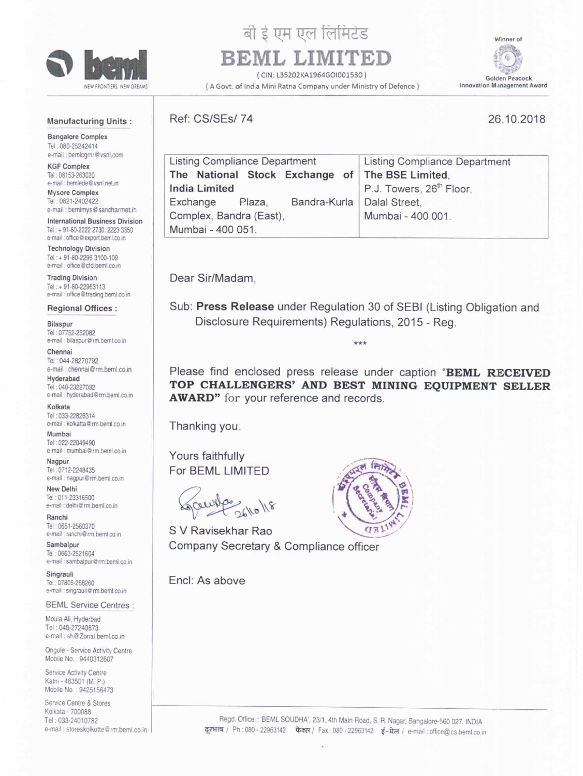

## बी ई एम एल लिमिटेड

# **BEML LIMITED** #2

( CIN: L35202KA1964GOI001530 )<br>a Mini Ratna Company under Ministry of Defence ) [Innovation Management Award (A Govt. of India Mini Ratna Company under Ministry of Defence)

Wt Golden Peacock

#### Manufacturing Units :

Bangalore Complex Tel: 080-25242414 e-mail : bemlcgmr@vsnl.com

KGF Complex Tel: 08153-263020 e-mail : bemlede@vsnl.net.in

Mysore Complex Tel: 0821-2402422 e-mail : bemimys@sancharmet.in

International Business Division Tel: + 91-80-2222 2730, 2223 3350 e-mail : office@export.beml.co.in

Technology Division Tel: + 91-80-2296 3100-109 e-mail : office@ctd.beml.co.in

**Trading Division** Tel: + 91-80-22963113 e-mail : office@trading.beml.co.in

#### Regional Offices :

Bilaspur Tel : 07752252082 e-mail : bilaspur@rm.beml.co.in

Chennai Tel: 044-28270792 e-mail : chennai@rm.beml.co.in

Hyderabad Tel 040-23227032 e-mail : hyderabad@rm.beml.co.in

Kolkata Tel: 033-22826314 e-mail : kolkatta@rm.beml.co.in

Mumbai Tel: 022-22049490 e-mail : mumbai@rm.beml.co.in

Nagpur Tel: 0712-2248435 e-mail : nagpur@rm.beml.co.in

New Delhi Tel :01123316500 e-mail : delhi@rm.beml.co.in

Ranchi Tel - 0651-2560370 e-mail : ranchi@rm.beml.co.in

Sambalpur Tel: 0663-2521604 e-mail : sambalpur@rm.beml.co.in

Singrauli Tel: 07805-268260 e-mail : singrauli@rm.beml.co.in

BEML Service Centres :

Moula Ali, Hyderbad Tel: 040-27240873 e-mail: sh@Zonal.beml.co.in

Ongole - Sewice Activity Centre Mobile No.: 9440312607

Service Activity Centre Katni - 483501 (M. P.) Mobile No.: 9425156473

Service Centre & Stores Kolkala <sup>~</sup> 700083 Tel: 033-24010782 e-mail : storeskolkotte@rm.beml.co.in Ref: CS/SEs/ 74 26.10.2018



| Listing Compliance Department                   |  | Listing Compliance Department        |  |
|-------------------------------------------------|--|--------------------------------------|--|
| The National Stock Exchange of The BSE Limited. |  |                                      |  |
| <b>India Limited</b>                            |  | P.J. Towers, 26 <sup>th</sup> Floor, |  |
| Exchange<br>Plaza,                              |  | Bandra-Kurla   Dalal Street,         |  |
| Complex, Bandra (East),                         |  | Mumbai - 400 001.                    |  |
| Mumbai - 400 051.                               |  |                                      |  |

Dear Sir/Madam,

Sub: Press Release under Regulation <sup>30</sup> of SEBI (Listing Obligation and Disclosure Requirements) Regulations, 2015 - Reg.

 $***$ 

Please find enclosed press release under caption "BEML RECEIVED TOP CHALLENGERS' AND BEST MINING EQUIPMENT SELLER AWARD" for your reference and records.

Thanking you.

Yours faithfully For BEML LIMITED

 $\frac{261018}{261018}$ 

S V Ravisekhar Rao Company Secretary & Compliance officer

Encl: As above